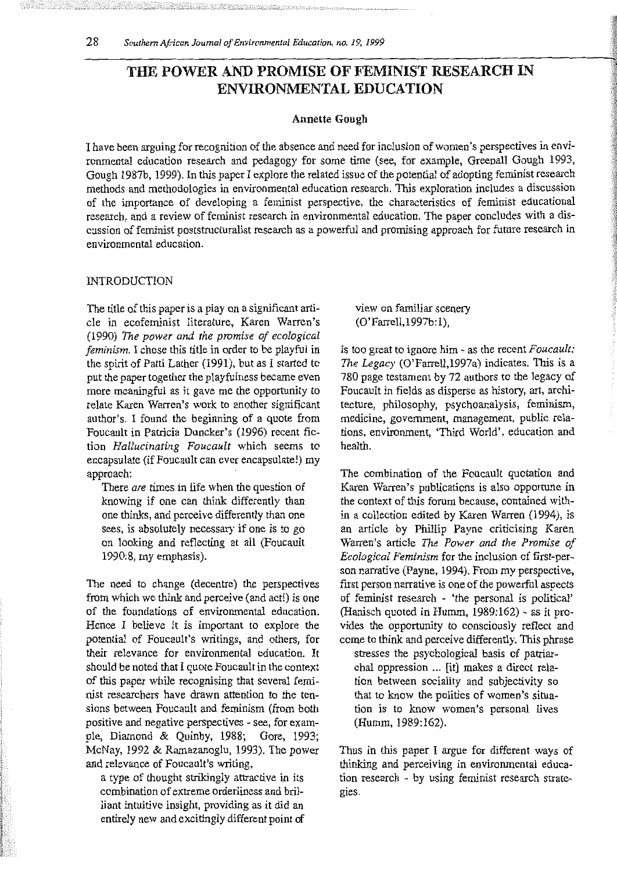# THE POWER AND PROMISE OF FEMINIST RESEARCH IN ENVIRONMENTAL EDUCATION

#### Annette Gough

I have been arguing for recognition of the absence and need for inclusion of women's perspectives in environmental education research and pedagogy for some time (see, for example, Greenall Gough 1993, Gough 1987b, 1999). In this paper I explore the related issue of the potential of adopting feminist research methods and methodologies in environmental education research. This exploration includes a discussion of the importance of developing a feminist perspective, the characteristics of feminist educational research, and a review of feminist research in environmental education. The paper concludes with a discussion of feminist poststructuralist research as a powerful and promising approach for future research in environmental education.

### INTRODUCTION

The title of this paper is a play on a significant article in ecofeminist literature, Karen Warren's (1990) *The power and the promise of ecological feminism.* I chose this title in order to be playful in the spirit of Patti Lather (1991), but as I started to put the paper together the playfulness became even more meaningful as it gave me the opportunity to relate Karen Warren's work to another significant author's. I found the beginning of a quote from Foucault in Patricia Duncker's (1996) recent fiction *Hallucinating Foucault* which seems to encapsulate (if Foucault can ever encapsulate!) my approach:

There *are* times in life when the question of knowing if one can think differently than one thinks, and perceive differently than one sees, is absolutely necessary if one is to go on looking and reflecting at all (Foucault 1990:8, my emphasis).

The need to change (decentre) the perspectives from which we think and perceive (and act!) is one of the foundations of environmental education. Hence I believe it is important to explore the potential of Foucault's writings, and others, for their relevance for environmental education. It should be noted that I quote Foucault in the context of this paper while recognising that several feminist researchers have drawn attention to the tensions between Foucault and feminism (from both positive and negative perspectives - see, for example, Diamond & Quinby, 1988; Gore, 1993; McNay, 1992 & Ramazanoglu, 1993). The power and relevance of Foucault's writing,

a type of thought strikingly attractive in its combination of extreme orderliness and brilliant intuitive insight, providing as it did an entirely new and excitingly different point of view on familiar scenery (O'Farrell,1997b: 1),

is too great to ignore him- as the recent *Foucault: The Legacy* (O'Farrell,1997a) indicates. This is a 780 page testament by 72 authors to the legacy of Foucault in fields as disperse as history, art, architecture, philosophy, psychoanalysis, feminism, medicine, government, management, public relations, environment, 'Third World', education and health.

The combination of the Foucault quotation and Karen Warren's publications is also opportune in the context of this forum because, contained within a collection edited by Karen Warren (1994), is an article by Phillip Payne criticising Karen Warren's article *The Power and the Promise of Ecological Feminism* for the inclusion of first-person narrative (Payne, 1994). From my perspective, first person narrative is one of the powerful aspects of feminist research - 'the personal is political' (Hanisch quoted in Humm, 1989:162) - as it provides the opportunity to consciously reflect and come to think and perceive differently. This phrase

stresses the psychological basis of patriarchal oppression ... [it] makes a direct relation between sociality and subjectivity so that to know the politics of women's situation is to know women's personal lives (Humm, 1989:162).

Thus in this paper I argue for different ways of thinking and perceiving in environmental education research - by using feminist research strategies.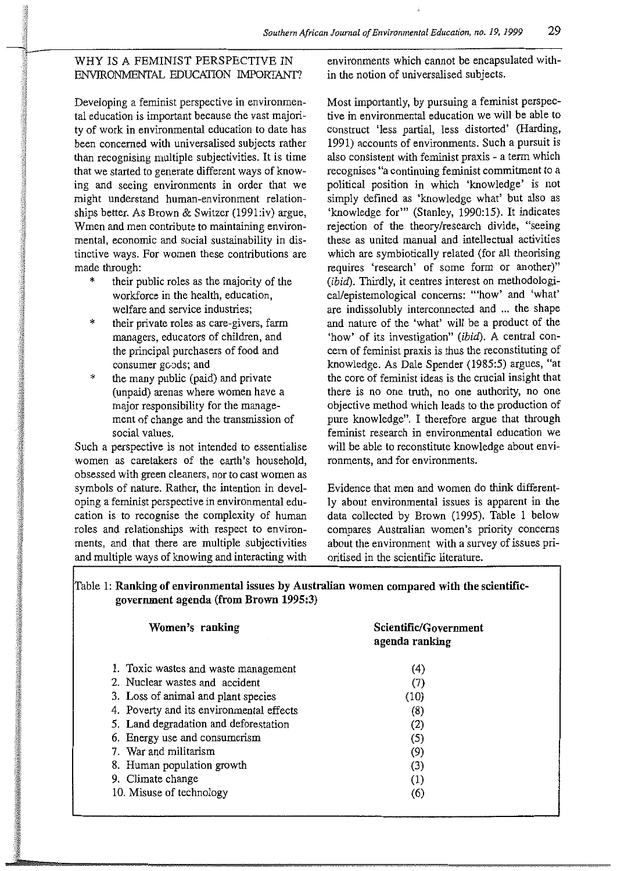## WHY IS A FEMINIST PERSPECTIVE IN ENVIRONMENTAL EDUCATION IMPORfANT?

Developing a feminist perspective in environmental education is important because the vast majority of work in environmental education to date has been concerned with universalised subjects rather than recognising multiple subjectivities. It is time that we started to generate different ways of knowing and seeing environments in order that we might understand human-environment relationships better. As Brown & Switzer (l991:iv) argue, Wmen and men contribute to maintaining environmental, economic and social sustainability in distinctive ways. For women these contributions are made through:

- their public roles as the majority of the workforce in the health, education, welfare and service industries;
- their private roles as care-givers, farm managers, educators of children, and the principal purchasers of food and consumer goods; and
- \* the many public (paid) and private (unpaid) arenas where women have a major responsibility for the management of change and the transmission of social values.

Such a perspective is not intended to essentialise women as caretakers of the earth's household, obsessed with green cleaners, nor to cast women as symbols of nature. Rather, the intention in developing a feminist perspective in environmental education is to recognise the complexity of human roles and relationships with respect to environments, and that there are multiple subjectivities and multiple ways of knowing and interacting with

environments which cannot be encapsulated within the notion of universalised subjects.

Most importantly, by pursuing a feminist perspective in environmental education we will be able to construct 'less partial, less distorted' (Harding, 1991) accounts of environments. Such a pursuit is also consistent with feminist praxis - a term which recognises "a continuing feminist commitment to a political position in which 'knowledge' is not simply defined as 'knowledge what' but also as 'knowledge for"' (Stanley, 1990:15). It indicates rejection of the theory/research divide, "seeing these as united manual and intellectual activities which are symbiotically related (for all theorising requires 'research' of some form or another)"  $(ibid)$ . Thirdly, it centres interest on methodological/epistemological concerns: "'how' and 'what' are indissolubly interconnected and ... the shape and nature of the 'what' will be a product of the 'how' of its investigation" (ibid). A central concern of feminist praxis is thus the reconstituting of knowledge. As Dale Spender (1985:5) argues, "at the core of feminist ideas is the crucial insight that there is no one truth, no one authority, no one objective method which leads to the production of pure knowledge". I therefore argue that through feminist research in environmental education we will be able to reconstitute knowledge about environments, and for environments.

Evidence that men and women do think differently about environmental issues is apparent in the data collected by Brown (1995). Table 1 below compares Australian women's priority concerns about the environment with a survey of issues prioritised in the scientific literature.

Table 1: **Ranking of environmental issues by Australian women compared with the scientificgovernment agenda (from Brown 1995:3)** 

| Women's ranking                          | Scientific/Government<br>agenda ranking |
|------------------------------------------|-----------------------------------------|
| 1. Toxic wastes and waste management     | (4)                                     |
| 2. Nuclear wastes and accident           | (7)                                     |
| 3. Loss of animal and plant species      | (10)                                    |
| 4. Poverty and its environmental effects | (8)                                     |
| 5. Land degradation and deforestation    | (2)                                     |
| 6. Energy use and consumerism            | (5)                                     |
| 7. War and militarism                    | (9)                                     |
| 8. Human population growth               | (3)                                     |
| 9. Climate change                        | (1)                                     |
| 10. Misuse of technology                 | (6)                                     |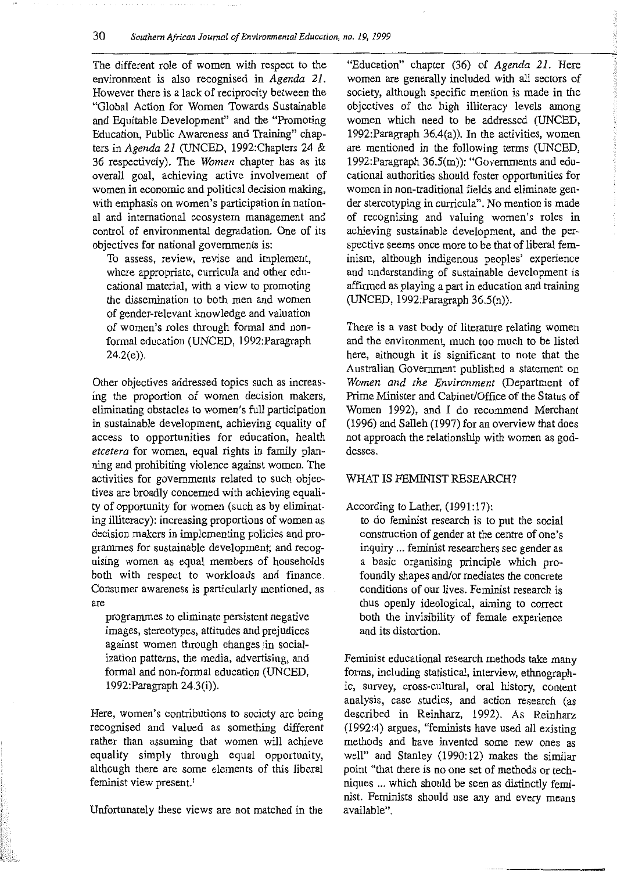### **30** *Southern African Journal of Environmental Education, no. 19, 1999*

The different role of women with respect to the environment is also recognised in *Agenda 21.*  However there is a lack of reciprocity between the "Global Action for Women Towards Sustainable and Equitable Development" and the ''Promoting Education, Public Awareness and Training" chapters in *Agenda 21* (UNCED, 1992:Chapters 24 & 36 respectively). The *Women* chapter has as its overall goal, achieving active involvement of women in economic and political decision making, with emphasis on women's participation in national and international ecosystem management and control of environmental degradation. One of its objectives for national governments is:

To assess, review, revise and implement, where appropriate, curricula and other educational material, with a view to promoting the dissemination to both men and women of gender-relevant knowledge and valuation of women's roles through formal and nonformal education (UNCED, 1992:Paragraph  $24.2(e)$ ).

Other objectives addressed topics such as increasing the proportion of women decision makers, eliminating obstacles to women's full participation in sustainable development, achieving equality of access to opportunities for education, health *etcetera* for women, equal rights in family planning and prohibiting violence against women. The activities for governments related to such objectives are broadly concerned with achieving equality of opportunity for women (such as by eliminating illiteracy): increasing proportions of women as decision makers in implementing policies and programmes for sustainable development; and recognising women as equal members of households both with respect to workloads and finance. Consumer awareness is particularly mentioned, as are

programmes to eliminate persistent negative images, stereotypes, attitudes and prejudices against women through changes in socialization patterns, the media, advertising, and formal and non-formal education (UNCED, 1992:Paragraph 24.3(i)).

Here, women's contributions to society are being recognised and valued as something different rather than assuming that women will achieve equality simply through equal opportunity, although there are some elements of this liberal feminist view present.'

Unfortunately these views are not matched in the

"Education" chapter (36) of *Agenda 21.* Here women are generally included with all sectors of society, although specific mention is made in the objectives of the high illiteracy levels among women which need to be addressed (UNCED, 1992:Paragraph 36.4(a)). In the activities, women are mentioned in the following terms (UNCED, 1992:Paragraph 36.5(m)): "Governments and educational authorities should foster opportunities for women in non-traditional fields and eliminate gender stereotyping in curricula". No mention is made of recognising and valuing women's roles in achieving sustainable development, and the perspective seems once more to be that of liberal feminism, although indigenous peoples' experience and understanding of sustainable development is affirmed as playing a part in education and training (UNCED, 1992:Paragraph 36.5(n)).

There is a vast body of literature relating women and the environment, much too much to be listed here, although it is significant to note that the Australian Government published a statement on *Women and the Environment* (Department of Prime Minister and Cabinet/Office of the Status of Women 1992), and I do recommend Merchant (1996) and Salleh (1997) for an overview that does not approach the relationship with women as goddesses.

#### WHAT IS FEMINIST RESEARCH?

According to Lather, (1991:17):

to do feminist research is to put the social construction of gender at the centre of one's inquiry ... feminist researchers see gender as a basic organising principle which profoundly shapes and/or mediates the concrete conditions of our lives. Feminist research is thus openly ideological, aiming to correct both the invisibility of female experience and its distortion.

Feminist educational research methods take many forms, including statistical, interview, ethnographic, survey, cross-cultural, oral history, content analysis, case studies, and action research (as described in Reinharz, 1992). As Reinharz (1992:4) argues, "feminists have used all existing methods and have invented some new ones as well" and Stanley (1990:12) makes the similar point "that there is no one set of methods or techniques ... which should be seen as distinctly feminist. Feminists should use any and every means available".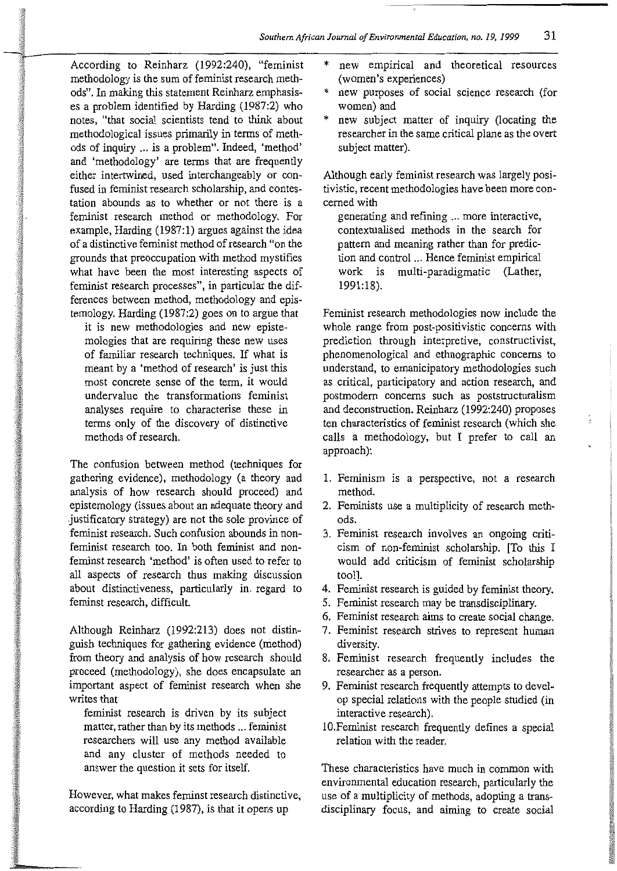According to Reinharz (1992:240), "feminist methodology is the sum of feminist research methods". In making this statement Reinharz emphasises a problem identified by Harding (1987:2) who notes, "that social scientists tend to think about methodological issues primarily in terms of methods of inquiry ... is a problem". Indeed, 'method' and 'methodology' are terms that are frequently either intertwined, used interchangeably or confused in feminist research scholarship, and contestation abounds as to whether or not there is a feminist research method or methodology. For example, Harding (1987:1) argues against the idea of a distinctive feminist method of research "on the grounds that preoccupation with method mystifies what have been the most interesting aspects of feminist research processes", in particular the differences between method, methodology and epistemology. Harding (1987:2) goes on to argue that

it is new methodologies and new epistemologies that are requiring these new uses of familiar research techniques. If what is meant by a 'method of research' is just this most concrete sense of the term, it would undervalue the transformations feminist analyses require to characterise these in terms only of the discovery of distinctive methods of research.

The confusion between method (techniques for gathering evidence), methodology (a theory and analysis of how research should proceed) and epistemology (issues about an adequate theory and .justificatory strategy) are not the sole province of feminist research. Such confusion abounds in nonfeminist research too. In both feminist and nonfeminst research 'method' is often used to refer to all aspects of research thus making discussion about distinctiveness, particularly in. regard to feminst research, difficult.

Although Reinharz (1992:213) does not distinguish techniques for gathering evidence (method) from theory and analysis of how research should proceed (methodology), she does encapsulate an important aspect of feminist research when she writes that

feminist research is driven by its subject matter, rather than by its methods ... feminist researchers will use any method available and any cluster of methods needed to answer the question it sets for itself.

However, what makes feminst research distinctive, according to Harding (1987), is that it opens up

- new empirical and theoretical resources (women's experiences)
- new purposes of social science research (for women) and
- new subject matter of inquiry (locating the researcher in the same critical plane as the overt subject matter).

Although early feminist research was largely positivistic, recent methodologies have been more concerned with

generating and refining ... more interactive, contextualised methods in the search for pattern and meaning rather than for prediction and control ... Hence feminist empirical work is multi-paradigmatic (Lather, 1991:18).

Feminist research methodologies now include the whole range from post-positivistic concerns with prediction through interpretive, constructivist, phenomenological and ethnographic concerns to understand, to emanicipatory methodologies such as critical, participatory and action research, and postrnodern concerns such as poststructuralism and deconstruction. Reinharz (1992:240) proposes ten characteristics of feminist research (which she calls a methodology, but I prefer to call an approach):

- 1. Feminism is a perspective, not a research method.
- 2. Feminists use a multiplicity of research methods.
- 3. Feminist research involves an ongoing criticism of non-feminist scholarship. [To this I would add criticism of feminist scholarship too!].
- 4. Feminist research is guided by feminist theory.
- 5. Feminist research may be transdisciplinary.
- 6. Feminist research aims to create social change.
- 7. Feminist research strives to represent human diversity.
- 8. Feminist research frequently includes the researcher as a person.
- 9. Feminist research frequently attempts to develop special relations with the people studied (in interactive research).
- 10. Feminist research frequently defines a special relation with the reader.

These characteristics have much in common with environmental education research, particularly the use of a multiplicity of methods, adopting a transdisciplinary focus, and aiming to create social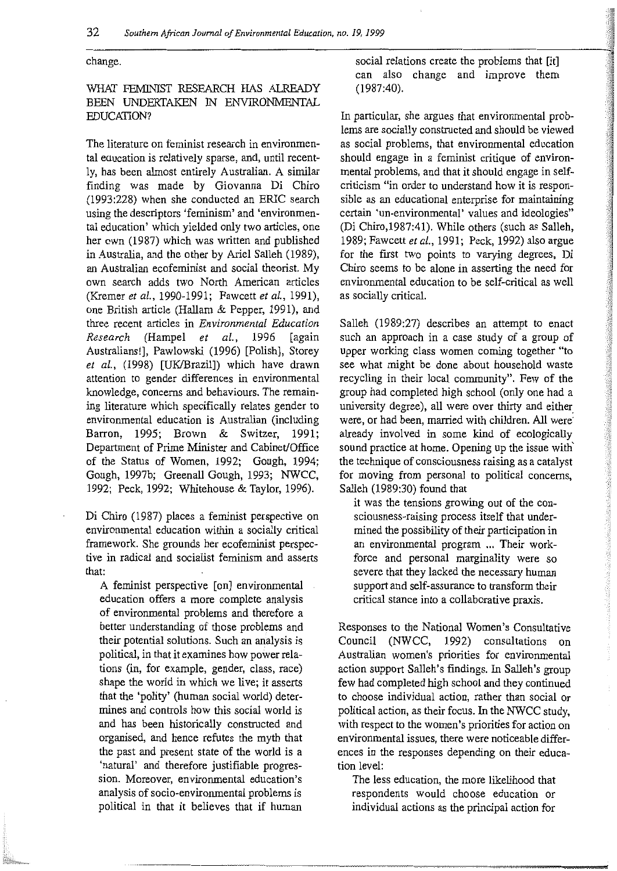change.

## WHAT FEMINIST RESEARCH HAS ALREADY BEEN UNDERTAKEN IN ENVJRONMENTAL EDUCATION?

The literature on feminist research in environmental education is relatively sparse, and, until recently, has been almost entirely Australian. A similar finding was made by Giovanna Di Chiro (1993 :228) when she conducted an ERIC search using the descriptors 'feminism' and 'environmental education' which yielded only two articles, one her own (1987) which was written and published in Australia, and the other by Ariel Salleh (1989), an Australian ecofeminist and social theorist. My own search adds two North American articles (Kremer *et al.,* 1990-1991; Fawcett *et al.,* 1991), one British article (Hallam & Pepper, 1991), and three recent articles in *Environmental Education Research* (Hampel *et al.,* 1996 [again Australians!], Pawlowski (1996) [Polish], Storey *et al.,* (1998) [UK/Brazil]) which have drawn attention to gender differences in environmental knowledge, concerns and behaviours. The remaining literature which specifically relates gender to environmental education is Australian (including Barron, 1995; Brown & Switzer, 1991; Department of Prime Minister and Cabinet/Office of the Status of Women, 1992; Gough, 1994; Gough, 1997b; Greenall Gough, 1993; NWCC, 1992; Peck, 1992; Whitehouse & Taylor, 1996).

Di Chiro (1987) places a feminist perspective on environmental education within a socially critical framework. She grounds her ecofeminist perspective in radical and socialist feminism and asserts that:

A feminist perspective [on] environmental education offers a more complete analysis of environmental problems and therefore a better understanding of those problems and their potential solutions. Such an analysis is political, in that it examines how power relations (in, for example, gender, class, race) shape the world in which we live; it asserts that the 'polity' (human social world) determines and controls how this social world is and has been historically constructed and organised, and hence refutes the myth that the past and present state of the world is a 'natural' and therefore justifiable progression. Moreover, environmental education's analysis of socio-environmental problems is political in that it believes that if human

social relations create the problems that [it] can also change and improve them (1987:40).

In particular, she argues that environmental problems are socially constructed and should be viewed as social problems, that environmental education should engage in a feminist critique of environmental problems, and that it should engage in selfcriticism "in order to understand how it is responsible as an educational enterprise for maintaining certain 'un-environmental' values and ideologies" (Di Chiro,1987:41). While others (such as Salleh, 1989; Fawcett *et al.,* 1991; Peck, 1992) also argue for the first two points to varying degrees, Di Chiro seems to be alone in asserting the need for environmental education to be self-critical as well as socially critical.

Salleh (1989:27) describes an attempt to enact such an approach in a case study of a group of upper working class women coming together "to see what might be done about household waste recycling in their local community". Few of the group had completed high school (only one had a university degree), all were over thirty and either were, or had been, married with children. All were already involved in some kind of ecologically sound practice at home. Opening up the issue with' the technique of consciousness raising as a catalyst for moving from personal to political concerns, Salleh (1989:30) found that

it was the tensions growing out of the consciousness-raising process itself that undermined the possibility of their participation in an environmental program ... Their workforce and personal marginality were so severe that they lacked the necessary human support and self-assurance to transform their critical stance into a collaborative praxis.

Responses to the National Women's Consultative Council (NWCC, 1992) consultations on Australian women's priorities for environmental action support Salleh's findings. In Salleh's group few had completed high school and they continued to choose individual action, rather than social or political action, as their focus. In the NWCC study, with respect to the women's priorities for action on environmental issues, there were noticeable differences in the responses depending on their education level:

The less education, the more likelihood that respondents would choose education or individual actions as the principal action for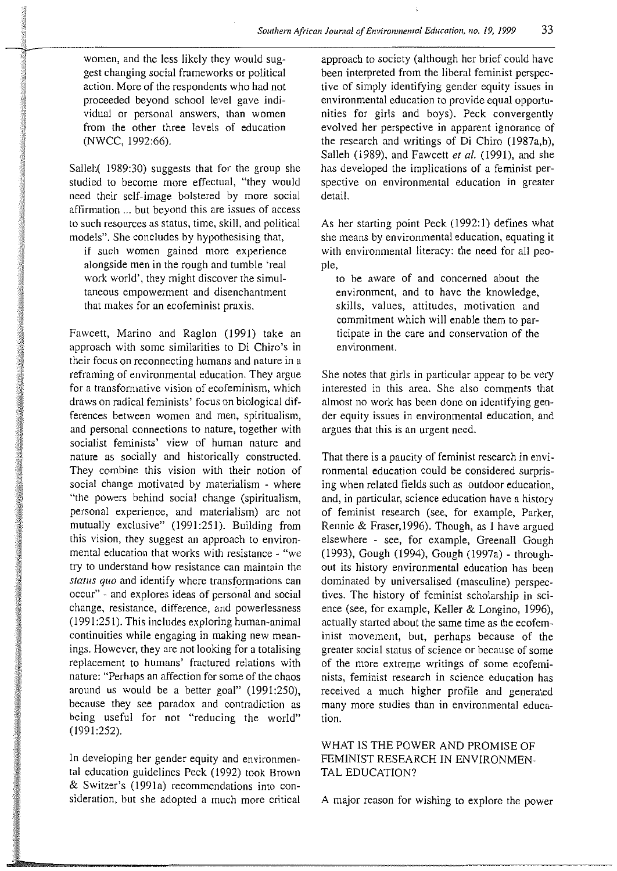women, and the less likely they would suggest changing social frameworks or political action. More of the respondents who had not proceeded beyond school level gave individual or personal answers, than women from the other three levels of education (NWCC, 1992:66).

**College B** 

Salleh( 1989:30) suggests that for the group she studied to become more effectual, "they would need their self-image bolstered by more social affirmation ... but beyond this are issues of access to such resources as status, time, skill, and political models". She concludes by hypothesising that,

if such women gained more experience alongside men in the rough and tumble 'real work world', they might discover the simultaneous empowerment and disenchantment that makes for an ecofeminist praxis.

Fawcett, Marino and Raglon (1991) take an approach with some similarities to Di Chiro's in their focus on reconnecting humans and nature in a reframing of environmental education. They argue for a transformative vision of ecofeminism, which draws on radical feminists' focus on biological differences between women and men, spiritualism, and personal connections to nature, together with socialist feminists' view of human nature and nature as socially and historically constructed. They combine this vision with their notion of social change motivated by materialism - where "the powers behind social change (spiritualism, personal experience, and materialism) are not mutually exclusive" (1991:251). Building from this vision, they suggest an approach to environmental education that works with resistance - "we try to understand how resistance can maintain the *status quo* and identify where transformations can occur" - and explores ideas of personal and social change, resistance, difference, and powerlessness (1991 :251). This includes exploring human-animal continuities while engaging in making new meanings. However, they are not looking for a totalising replacement to humans' fractured relations with nature: "Perhaps an affection for some of the chaos around us would be a better goal" (1991:250), because they see paradox and contradiction as being useful for not "reducing the world"  $(1991.252)$ .

In developing her gender equity and environmental education guidelines Peck (1992) took Brown & Switzer's (199la) recommendations into consideration, but she adopted a much more critical approach to society (although her brief could have been interpreted from the liberal feminist perspective of simply identifying gender equity issues in environmental education to provide equal opportunities for girls and boys). Peck convergently evolved her perspective in apparent ignorance of the research and writings of Di Chiro (1987a,b), Salleh (1989), and Fawcett et al. (1991), and she has developed the implications of a feminist perspective on environmental education **in** greater detail.

As her starting point Peck (1992:1) defines what she means by environmental education, equating it with environmental literacy: the need for all people,

to be aware of and concerned about the environment, and to have the knowledge, skills, values, attitudes, motivation and commitment which will enable them to participate in the care and conservation of the **environment.** 

She notes that girls in particular appear to be very interested in this area. She also comments that almost no work has been done on identifying gender equity issues in environmental education, and argues that this is an urgent need.

That there is a paucity of feminist research in environmental education could be considered surprising when related fields such as outdoor education, and, in particular, science education have a history of feminist research (see, for example, Parker, Rennie & Fraser,l996). Though, as I have argued elsewhere - see, for example, Greenall Gough (1993), Gough (1994), Gough (1997a)- throughout its history environmental education has been dominated by universalised (masculine) perspectives. The history of feminist scholarship in science (see, for example, Keller & Longino, 1996), actually started about the same time as the ecofeminist movement, but, perhaps because of the greater social status of science or because of some of the more extreme writings of some ecofeminists, feminist research in science education has received a much higher profile and generated many more studies than **in** environmental education.

WHAT IS THE POWER AND PROMISE OF FEMINIST RESEARCH IN ENVIRONMEN-TAL EDUCATION?

A major reason for wishing to explore the power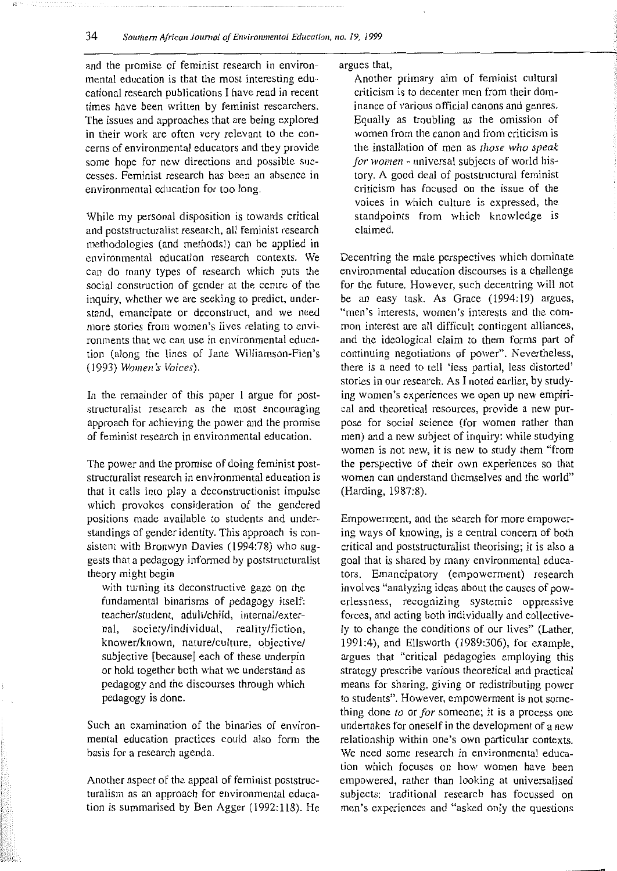and the promise of feminist research in environmental education is that the most interesting educational research publications I have read in recent times have been written by feminist researchers. The issues and approaches that are being explored in their work are often very relevant to the concerns of environmental educators and they provide some hope for new directions and possible successes. Feminist research has been an absence in environmental education for too long.

While my personal disposition is towards critical and poststructuralist research, all feminist research methodologies (and methods!) can be applied in environmental education research contexts. We can do many types of research which puts the social construction of gender at the centre of the inquiry, whether we are seeking to predict, understand, emancipate or deconstruct, and we need more stories from women's lives relating to environments that we can use in environmental education (along the lines of Jane Williamson-Fien's (1993) *Women's Voices).* 

In the remainder of this paper I argue for poststructuralist research as the most encouraging approach for achieving the power and the promise of feminist research in environmental education.

The power and the promise of doing feminist poststructuralist research in environmental education is that it calls into play a deconstructionist impulse which provokes consideration of the gendered positions made available to students and understandings of gender identity. This approach is consistent with Bronwyn Davies (1994:78) who suggests that a pedagogy informed by poststructuralist theory might begin

with turning its deconstructive gaze on the fundamental binarisms of pedagogy itself: teacher/student, adult/child, internal/external, society/individual, reality/fiction, knower/known, nature/culture, objective/ subjective [because] each of these underpin or hold together both what we understand as pedagogy and the discourses through which pedagogy is done.

Such an examination of the binaries of environmental education practices could also form the basis for a research agenda.

Another aspect of the appeal of feminist poststructuralism as an approach for environmental education is summarised by Ben Agger (1992:118). He **argues that,** 

Another primary aim of feminist cultural criticism is to decenter men from their dominance of various official canons and genres. Equally as troubling as the omission of women from the canon and from criticism is the installation of men as *those who speak for women* - universal subjects of world history. A good deal of poststructural feminist criticism has focused on the issue of the voices in which culture is expressed, the standpoints from which knowledge is claimed.

Decentring the male perspectives which dominate environmental education discourses is a challenge for the future. However, such decentring will not be an easy task. As Grace (1994:19) argues, "men's interests, women's interests and the common interest are all difficult contingent alliances, and the ideological claim to them forms part of continuing negotiations of power". Nevertheless, there is a need to tell 'less partial, less distorted' stories in our research. As I noted earlier, by studying women's experiences we open up new empirical and theoretical resources, provide a new purpose for social science (for women rather than men) and a new subject of inquiry: while studying women is not new, it is new to study them "from the perspective of their own experiences so that women can understand themselves and the world" (Harding, 1987:8).

Empowerment, and the search for more empowering ways of knowing, is a central concern of both critical and poststructuralist theorising; it is also a goal that is shared by many environmental educators. Emancipatory (empowerment) research involves "analyzing ideas about the causes of powerlessness, recognizing systemic oppressive forces, and acting both individually and collectively to change the conditions of our lives" (Lather, 1991:4), and Ellsworth (1989:306), for example, argues that "critical pedagogies employing this strategy prescribe various theoretical and practical means for sharing, giving or redistributing power to students". However, empowerment is not something done *to* or *for* someone; it is a process one undertakes for oneself in the development of a new relationship within one's own particular contexts. We need some research in environmental education which focuses on how women have been empowered, rather than looking at universalised subjects: traditional research has focussed on men's experiences and "asked only the questions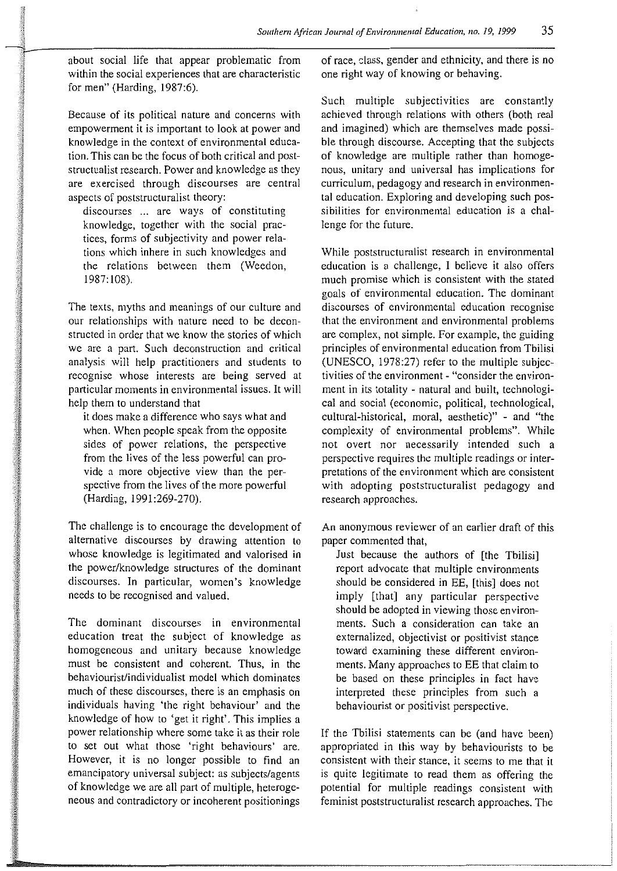about social life that appear problematic from within the social experiences that are characteristic for men" (Harding, 1987:6).

Because of its political nature and concerns with empowerment it is important to look at power and knowledge in the context of environmental education. This can be the focus of both critical and poststructualist research. Power and knowledge as they are exercised through discourses are central aspects of poststructuralist theory:

discourses ... are ways of constituting knowledge, together with the social practices, forms of subjectivity and power relations which inhere in such knowledges and the relations between them (Weedon, 1987: !08).

The texts, myths and meanings of our culture and our relationships with nature need to be deconstructed in order that we know the stories of which we are a part. Such deconstruction and critical analysis will help practitioners and students to recognise whose interests are being served at particular moments in environmental issues. It will help them to understand that

it does make a difference who says what and when. When people speak from the opposite sides of power relations, the perspective from the lives of the less powerful can provide a more objective view than the perspective from the lives of the more powerful (Harding, 1991:269-270).

The challenge is to encourage the development of alternative discourses by drawing attention to whose knowledge is legitimated and valorised in the power/knowledge structures of the dominant discourses. In particular, women's knowledge needs to be recognised and valued.

The dominant discourses in environmental education treat the subject of knowledge as homogeneous and unitary because knowledge must be consistent and coherent. Thus, in the behaviourist/individualist model which dominates much of these discourses, there is an emphasis on individuals having 'the right behaviour' and the knowledge of how to 'get it right'. This implies a power relationship where some take it as their role to set out what those 'right behaviours' are. However, it is no longer possible to find an emancipatory universal subject: as subjects/agents of knowledge we are all part of multiple, heterogeneous and contradictory or incoherent positionings

of race, class, gender and ethnicity, and there is no one right way of knowing or behaving.

Such multiple subjectivities are constantly achieved through relations with others (both real and imagined) which are themselves made possible through discourse. Accepting that the subjects of knowledge are multiple rather than homogenous, unitary and universal has implications for curriculum, pedagogy and research in environmental education. Exploring and developing such possibilities for environmental education is a challenge for the future.

While poststructuralist research in environmental education is a challenge, I believe it also offers much promise which is consistent with the stated goals of environmental education. The dominant discourses of environmental education recognise that the environment and environmental problems are complex, not simple. For example, the guiding principles of environmental education from Tbilisi (UNESCO, 1978:27) refer to the multiple subjectivities of the environment- "consider the environment in its totality - natural and built, technological and social (economic, political, technological, cultural-historical, moral, aesthetic)" - and "the complexity of environmental problems". While not overt nor necessarily intended such a perspective requires the multiple readings or interpretations of the environment which are consistent with adopting poststructuralist pedagogy and research approaches.

An anonymous reviewer of an earlier draft of this paper commented that,

Just because the authors of [the Tbilisi] report advocate that multiple environments should be considered in EE, [this] does not imply [that] any particular perspective should be adopted in viewing those environments. Such a consideration can take an externalized, objectivist or positivist stance toward examining these different environments. Many approaches to EE that claim to be based on these principles in fact have interpreted these principles from such a behaviourist or positivist perspective.

If the Tbilisi statements can be (and have been) appropriated in this way by behaviourists to be consistent with their stance, it seems to me that it is quite legitimate to read them as offering the potential for multiple readings consistent with feminist poststructuralist research approaches. The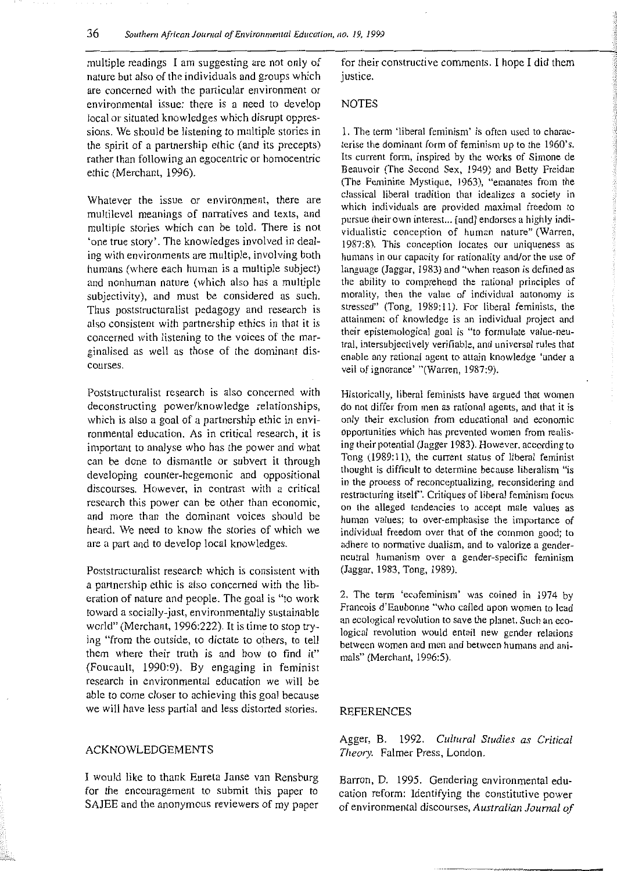multiple readings I am suggesting are not only of nature but also of the individuals and groups which are concerned with the particular environment or environmental issue: there is a need to develop local or situated knowledges which disrupt oppressions. We should be listening to multiple stories in the spirit of a partnership ethic (and its precepts) rather than following an egocentric or homocentric ethic (Merchant, 1996).

Whatever the issue or environment, there are multilevel meanings of narratives and texts, and multiple stories which can be told. There is not 'one true story'. The know ledges involved in dealing with environments are multiple, involving both humans (where each human is a multiple subject) and nonhuman nature (which also has a multiple subjectivity), and must be considered as such. Thus poststructuralist pedagogy and research is also consistent with partnership ethics in that it is concerned with listening to the voices of the marginalised as well as those of the dominant dis**courses.** 

Poststructuralist research is also concerned with deconstructing power/knowledge relationships, which is also a goal of a partnership ethic in environmental education. As in critical research, it is important to analyse who has the power and what can be done to dismantle or subvert it through developing counter-hegemonic and oppositional discourses. However, in contrast with a critical research this power can be other than economic, and more than the dominant voices should be heard. We need to know the stories of which we are a part and to develop local know ledges.

Poststructuralist research which is consistent with a partnership ethic is also concerned with the liberation of nature and people. The goal is "to work toward a socially-just, environmentally sustainable world" (Merchant, 1996:222). It is time to stop trying "from the outside, to dictate to others, to tell them where their truth is and how to find it" (Foucault, 1990:9). By engaging in feminist research in environmental education we will be able to come closer to achieving this goal because we will have less partial and less distorted stories.

#### ACKNOWLEDGEMENTS

I would like to thank Eureta Janse van Rensburg for the encouragement to submit this paper to SAJEE and the anonymous reviewers of my paper

for their constructive comments. I hope I did them justice.

#### **NOTES**

1. The term 'liberal feminism' is often used to characterise the dominant form of feminism up to the 1960's. Its current form, inspired by the works of Simone de Beauvoir (The Second Sex, 1949) and Betty Freidan (The Feminine Mystique, 1963), "emanates from the classical liberal tradition that idealizes a society in which individuals are provided maximal freedom to pursue their own interest... [and] endorses a highly indi**vidualistic conception of human nature" (Warren,**  1987:8). This conception locates our uniqueness as **humans in our capacity for rationality and/or the use of language (Jaggar, 1983) and "when reason is defined as**  the ability to comprehend the rational principles of morality, then the value of individual autonomy is stressed" (Tong, 1989:11). For liberal feminists, the **attainment of knowledge is an individual project and their epistemological goal is "to formulate value-neu**tral, intersubjectively verifiable, and universal rules that **enable any rational agent to attain knowledge 'under a**  veil of ignorance' "(Warren, 1987:9).

Historically, liberal feminists have argued that women **do not differ from men as rational agents, and that it is only their exclusion from educational and economic**  opportunities which has prevented women from realising their potential (Jagger 1983). However, according to Tong (1989:11), the current status of liberal feminist thought is difficult to determine because liberalism "is in the process of reconceptualizing, reconsidering and restructuring itself'. Critiques of liberal feminism focus on the alleged tendencies to accept male values as **human values; to over-emphasise the importance of**  individual freedom over that of the common good; to adhere to normative dualism, and to valorize a gender**neutral humanism over a gender-specific feminism**  (Jaggar, 1983, Tong, 1989).

2. The term 'ecofeminism' was coined in 1974 by Francois d'Eaubonne "who called upon women to lead an ecological revolution to save the planet. Such an ecological revolution would entail new gender relations **between women and men and between humans and ani**mals" (Merchant, 1996:5).

#### REFERENCES

Agger, B. 1992. *Cultural Studies as Critical Theory.* Palmer Press, London.

Barron, D. 1995. Gendering environmental education reform: Identifying the constitutive power of environmental discourses, *Australian Journal of*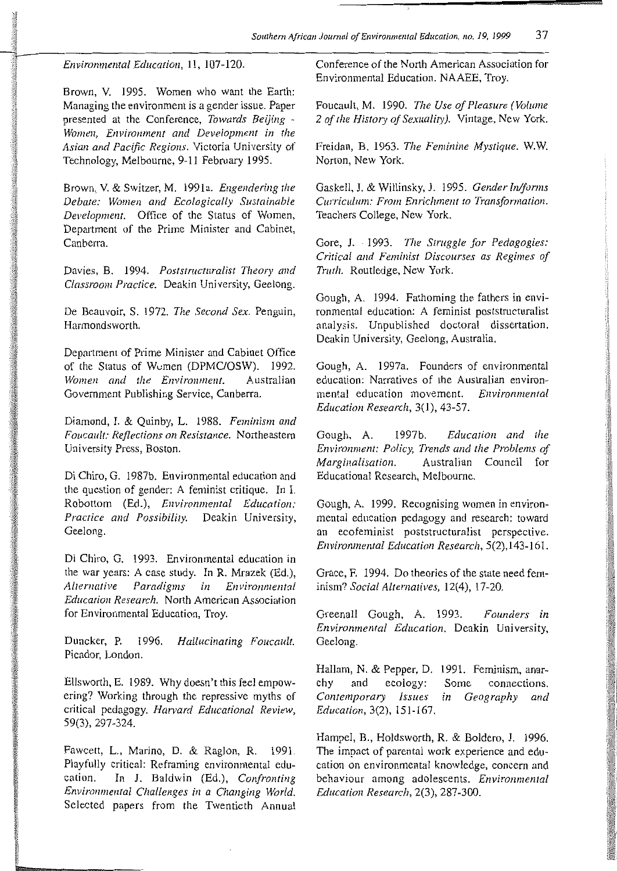*Environmental Education,* 11, 107-120.

Brown, V. 1995. Women who want the Earth: Managing the environment is a gender issue. Paper presented at the Conference, *Towards Beijing* - *Women, Environment and Development in the Asian and Pacific Regions.* Victoria University of Technology, Melbourne, 9-11 February 1995.

Brown, V. & Switzer, M. 1991a. *Engendering the Debate: Women and Ecologically Sustainable Development.* Office of the Status of Women, Department of the Prime Minister and Cabinet, **Canberra.** 

Davies, B. 1994. *Poststructuralist Theory and Classroom Practice.* Deakin University, Geelong.

De Beauvoir, S. 1972. *The Second Sex.* Penguin, Harmondsworth.

Department of Prime Minister and Cabinet Office of the Status of Wumen (DPMC/OSW). 1992.<br>Women and the Environment. Australian **Women and the Environment.** Government Publishing Service, Canberra.

Diamond, I. & Quinby, L. 1988. *Feminism and Foucault: Reflections on Resistance.* Northeastern University Press, Boston.

Di Chiro, G. 1987b. Environmental education and the question of gender: A feminist critique. In I. Robottom (Ed.), *Environmental Education: Practice and Possibility.* Deakin University, Geelong.

Di Chiro, G. 1993. Environmental education in the war years: A case study. In R. Mrazek (Ed.),<br>Alternative Paradigms in Environmental *Alternative Paradigms in Environmental Education Research.* North American Association for Environmental Education, Troy.

Duncker, P. 1996. *Hallucinating Foucault.*  Picador, London.

Ellsworth, E. 1989. Why doesn't this feel empowering? Working through the repressive myths of critical pedagogy. *Harvard Educational Review,*  59(3), 297-324.

Fawcett, L., Marino, D. & Raglon, R. 1991. Playfully critical: Reframing environmental education. In J. Baldwin (Ed.), *Confronting Environmental Challenges in a Changing World.*  Selected papers from the Twentieth Annual

Conference of the North American Association for Environmental Education. NAAEE, Troy.

Foucault, M. 1990. *The Use of Pleasure (Volume 2 of the History of Sexuality).* Vintage, New York.

Freidan, B. 1963. *The Feminine Mystique.* W.W. Norton, New York.

Gaskell, J. & Willinsky, J. 1995. *Gender In/forms Curriculum: From Enrichment to Transformation.*  Teachers College, New York.

Gore, J. 1993. *The Struggle for Pedagogies: Critical and Feminist Discourses as Regimes of Truth.* Routledge, New York.

Gough, A. 1994. Fathoming the fathers in environmental education: A feminist poststructuralist analysis. Unpublished doctoral dissertation. Deakin University, Geelong, Australia.

Gough, A. 1997a. Founders of environmental education: Narratives of the Australian environmental education movement. *Environmental Education Research,* 3(1), 43-57.

Gough, A. 1997b. *Education and the Environment: Policy, Trends and the Problems of Marginalisation.* Australian Council for Educational Research, Melbourne.

Gough, A. 1999. Recognising women in environmental education pedagogy and research: toward an ecofeminist poststructuralist perspective. *Environmental Education Research,* 5(2), 143-161.

Grace, F. 1994. Do theories of the state need feminism? *Social Alternatives,* 12(4), 17-20.

Greenall Gough, A. 1993. *Founders in Environmental Education.* Deakin University, Geelong.

Hallam, N. & Pepper, D. 1991. Feminism, anarchy and ecology: *Contemporary Issues Education,* 3(2), 151-167. Some connections. *in Geography and* 

Hampel, B., Holdsworth, R. & Boldero, J. 1996. The impact of parental work experience and education on environmental knowledge, concern and behaviour among adolescents. *Environmental Education Research,* 2(3), 287-300.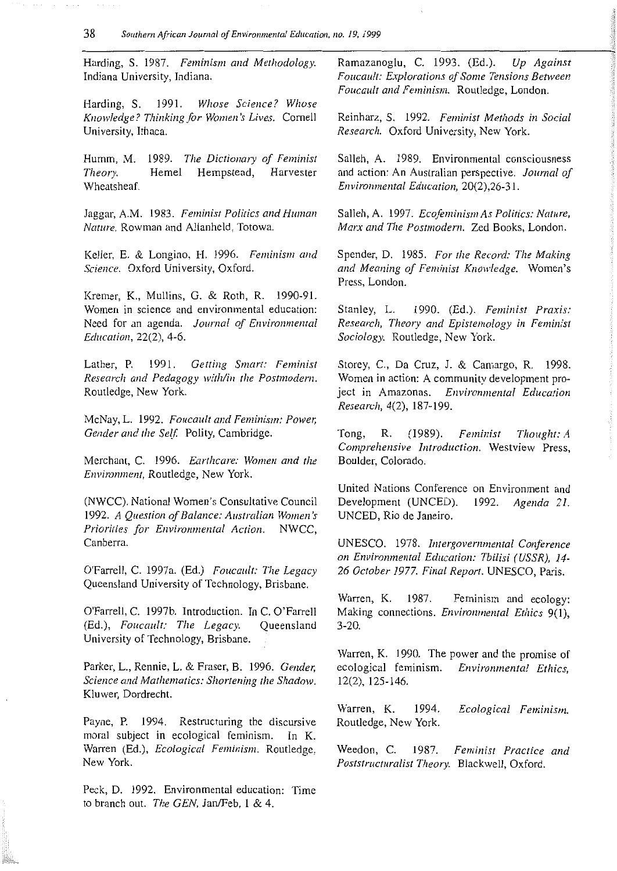Harding, S. 1987. *Feminism and Methodology.*  Indiana University, Indiana.

Harding, S. 1991. *Whose Science? Whose Knowledge? Thinking for Women's Lives.* Cornell University, Ithaca.

Humm, M. 1989. The Dictionary of Feminist *Theory.*  Wheatsheaf. Heme! Hempstead, Harvester

Jaggar, A.M. 1983. *Feminist Politics and Human Nature.* Rowman and Allanheld, Totowa.

Keller, E. & Longino, H. 1996. *Feminism and Science.* Oxford University, Oxford.

Kremer, K., Mullins, G. & Roth, R. 1990-91. Women in science and environmental education: Need for an agenda. *Joumal of Environmental Education,* 22(2), 4-6.

Lather, P. 1991. *Getting Smart: Feminist Research and Pedagogy with/in the Postmodem.*  Routledge, New York.

McNay, L. 1992. *Foucault and Feminism: Power, Gender and the Self.* Polity, Cambridge.

Merchant, C. 1996. *Earthcare: Women and the Environment,* Routledge, New York.

(NWCC). National Women's Consultative Council 1992. *A Question of Balance: Australian Women's Priorities for Environmental Action.* NWCC, Canberra.

O'Farrell, C. !997a. (Ed.) *Foucault: The Legacy*  Queensland University of Technology, Brisbane.

O'Farrell, C. 1997b. Introduction. In C. O'Farrell (Ed.), *Foucault: The Legacy.* Queensland University of Technology, Brisbane.

Parker, L., Rennie, L. & Fraser, B. 1996. *Gender, Science and Mathematics: Shortening the Shadow.*  Kluwer, Dordrecht.

Payne, P. 1994. Restructuring the discursive moral subject in ecological feminism. In K. Warren (Ed.), *Ecological Feminism.* Routledge, New York.

Peck, D. 1992. Environmental education: Time to branch out. *The GEN,* Jan/Feb, I & 4.

Ramazanoglu, C. 1993. (Ed.). *Up Against Foucault: Explorations of Some Tensions Between Foucault and Feminism.* Routledge, London.

Reinharz, S. 1992. *Feminist Methods in Social Research.* Oxford University, New York.

Salleh, A. 1989. Environmental consciousness and action: An Australian perspective. *Joumal of Environmental Education,* 20(2),26-31.

Salleh, A. 1997. *Ecofeminism As Politics: Nature, Marx and The Pas/modem.* Zed Books, London.

Spender, D. 1985. *For the Record: The Making and Meaning of Feminist Knowledge.* Women's Press, London.

Stanley, L. 1990. (Ed.). *Feminist Praxis: Research, Theory and Epistemology in Feminist Sociology.* Routledge, New York.

Storey, C., Da Cruz, J. & Camargo, R. 1998. Women in action: A community development project in Amazonas. *Environmental Education Research,* 4(2), 187-199.

Tong, R. (1989). *Feminist Thought: A*  Comprehensive Introduction. Westview Press, Boulder, Colorado.

United Nations Conference on Environment and Development (UNCED). 1992. *Agenda 21.*  UNCED, Rio de Janeiro.

UNESCO. 1978. *lntergovemmental Conference on Environmental Education: Tbilisi (USSR), 14- 26 October 1977. Final Report.* UNESCO, Paris.

Warren, K. 1987. Making connections. *Enviromnental Ethics* 9(1), 3-20. Feminism and ecology:

Warren, K. 1990. The power and the promise of ecological feminism. *Environmental Ethics,*  12(2), 125-146.

Warren, K. 1994. Routledge, New York. *Ecological Feminism.* 

Weedon, C. 1987. *Feminist Practice and Pas/structuralist Theory.* Blackwell, Oxford.